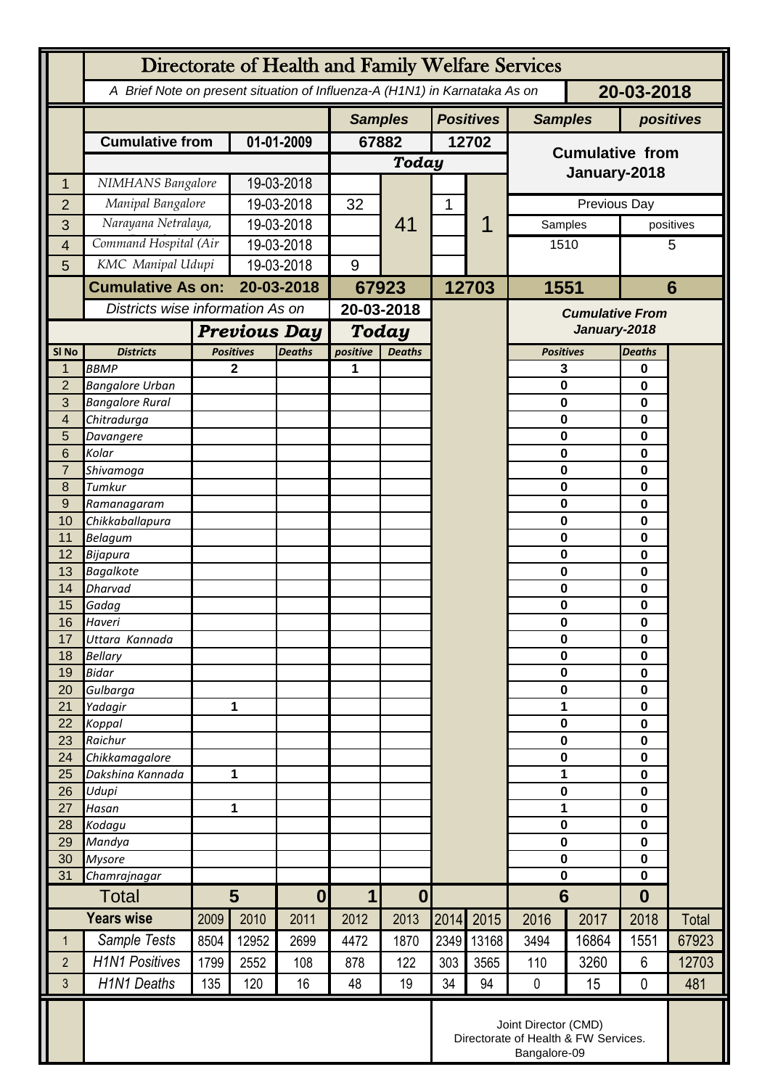|                  | Directorate of Health and Family Welfare Services                                        |                                                      |                                  |               |                                 |               |                  |       |                                        |       |                  |           |
|------------------|------------------------------------------------------------------------------------------|------------------------------------------------------|----------------------------------|---------------|---------------------------------|---------------|------------------|-------|----------------------------------------|-------|------------------|-----------|
|                  | 20-03-2018<br>A Brief Note on present situation of Influenza-A (H1N1) in Karnataka As on |                                                      |                                  |               |                                 |               |                  |       |                                        |       |                  |           |
|                  |                                                                                          |                                                      |                                  |               | <b>Samples</b>                  |               | <b>Positives</b> |       | <b>Samples</b>                         |       | positives        |           |
|                  | <b>Cumulative from</b>                                                                   |                                                      | 01-01-2009                       |               | 67882                           |               | 12702            |       | <b>Cumulative from</b>                 |       |                  |           |
|                  |                                                                                          |                                                      |                                  | <b>Today</b>  |                                 |               |                  |       |                                        |       |                  |           |
| 1                | NIMHANS Bangalore                                                                        |                                                      | 19-03-2018                       |               |                                 |               |                  |       | January-2018                           |       |                  |           |
| $\overline{2}$   | Manipal Bangalore                                                                        |                                                      | 19-03-2018                       |               | 32                              |               | 1                |       | Previous Day                           |       |                  |           |
| 3                | Narayana Netralaya,                                                                      |                                                      | 19-03-2018                       |               |                                 | 41            |                  |       | Samples                                |       |                  | positives |
| $\overline{4}$   | Command Hospital (Air                                                                    |                                                      | 19-03-2018                       |               |                                 |               |                  |       | 1510                                   |       |                  | 5         |
| 5                | KMC Manipal Udupi                                                                        |                                                      | 19-03-2018                       |               | 9                               |               |                  |       |                                        |       |                  |           |
|                  | <b>Cumulative As on:</b>                                                                 |                                                      | 20-03-2018                       |               | 67923                           |               | 12703            |       | 1551                                   |       | $6\phantom{1}$   |           |
|                  |                                                                                          |                                                      | Districts wise information As on |               | $20 - 03 - 2018$                |               |                  |       | <b>Cumulative From</b><br>January-2018 |       |                  |           |
|                  |                                                                                          |                                                      | <b>Previous Day</b>              |               | <b>Today</b>                    |               |                  |       |                                        |       |                  |           |
| SI <sub>No</sub> | <b>Districts</b>                                                                         |                                                      | <b>Positives</b>                 | <b>Deaths</b> | positive                        | <b>Deaths</b> |                  |       | <b>Positives</b>                       |       | <b>Deaths</b>    |           |
| 1                | <b>BBMP</b>                                                                              |                                                      | 2                                |               | 1                               |               |                  |       | 3                                      |       | 0                |           |
| $\overline{2}$   | <b>Bangalore Urban</b>                                                                   |                                                      |                                  |               |                                 |               |                  |       | 0                                      |       | 0                |           |
| 3<br>4           | <b>Bangalore Rural</b><br>Chitradurga                                                    |                                                      |                                  |               |                                 |               |                  |       | 0<br>0                                 |       | 0<br>$\bf{0}$    |           |
| 5                | Davangere                                                                                |                                                      |                                  |               |                                 |               |                  |       | 0                                      |       | 0                |           |
| 6                | Kolar                                                                                    |                                                      |                                  |               |                                 |               |                  |       | 0                                      |       | 0                |           |
| $\overline{7}$   | Shivamoga                                                                                |                                                      |                                  |               |                                 |               |                  |       | 0                                      |       | 0                |           |
| 8                | Tumkur                                                                                   |                                                      |                                  |               |                                 |               |                  |       | 0                                      |       | 0                |           |
| 9<br>10          | Ramanagaram<br>Chikkaballapura                                                           |                                                      |                                  |               |                                 |               |                  |       | 0<br>0                                 |       | 0<br>0           |           |
| 11               | <b>Belagum</b>                                                                           |                                                      |                                  |               |                                 |               |                  |       | 0                                      |       | 0                |           |
| 12               | Bijapura                                                                                 |                                                      |                                  |               |                                 |               |                  |       | 0                                      |       | 0                |           |
| 13               | <b>Bagalkote</b>                                                                         |                                                      |                                  |               |                                 |               |                  |       | 0                                      |       | 0                |           |
| 14               | Dharvad                                                                                  |                                                      |                                  |               |                                 |               |                  |       | $\mathbf 0$                            |       | $\mathbf 0$      |           |
| 15               | Gadag<br>Haveri                                                                          |                                                      |                                  |               |                                 |               |                  |       | 0<br>0                                 |       | 0<br>0           |           |
| 16<br>17         | Uttara Kannada                                                                           |                                                      |                                  |               |                                 |               |                  |       | 0                                      |       | 0                |           |
| 18               | <b>Bellary</b>                                                                           |                                                      |                                  |               |                                 |               |                  |       | $\mathbf 0$                            |       | 0                |           |
| 19               | <b>Bidar</b>                                                                             |                                                      |                                  |               |                                 |               |                  |       | 0                                      |       | $\mathbf 0$      |           |
| 20               | Gulbarga                                                                                 |                                                      |                                  |               |                                 |               |                  |       | 0                                      |       | 0                |           |
| 21<br>22         | Yadagir<br>Koppal                                                                        |                                                      | 1                                |               |                                 |               |                  |       | 1<br>$\mathbf 0$                       |       | 0<br>0           |           |
| 23               | Raichur                                                                                  |                                                      |                                  |               |                                 |               |                  |       | 0                                      |       | 0                |           |
| 24               | Chikkamagalore                                                                           |                                                      |                                  |               |                                 |               |                  |       | 0                                      |       | 0                |           |
| 25               | Dakshina Kannada                                                                         | 1                                                    |                                  |               |                                 |               |                  |       | 1                                      |       | $\mathbf 0$      |           |
| 26               | Udupi                                                                                    |                                                      |                                  |               |                                 |               |                  |       | 0                                      |       | 0                |           |
| 27<br>28         | Hasan<br>Kodagu                                                                          | 1                                                    |                                  |               |                                 |               |                  |       | 1<br>$\mathbf 0$                       |       | 0<br>0           |           |
| 29               | Mandya                                                                                   |                                                      |                                  |               |                                 |               |                  |       | $\mathbf 0$                            |       | $\mathbf 0$      |           |
| 30               | <b>Mysore</b>                                                                            |                                                      |                                  |               |                                 |               |                  |       | 0                                      |       | $\mathbf 0$      |           |
| 31               | Chamrajnagar                                                                             |                                                      |                                  |               |                                 |               |                  |       | $\mathbf 0$                            |       | 0                |           |
| <b>Total</b>     |                                                                                          | $5\phantom{1}$                                       |                                  | $\bf{0}$      | $\boldsymbol{0}$<br>$\mathbf 1$ |               |                  |       | $6\phantom{1}6$                        |       | $\boldsymbol{0}$ |           |
|                  | <b>Years wise</b>                                                                        | 2009                                                 | 2010                             | 2011          | 2012                            | 2013          | 2014             | 2015  | 2016                                   | 2017  | 2018             | Total     |
| $\mathbf 1$      | Sample Tests                                                                             | 8504                                                 | 12952                            | 2699          | 4472                            | 1870          | 2349             | 13168 | 3494                                   | 16864 | 1551             | 67923     |
| $\overline{2}$   | <b>H1N1 Positives</b>                                                                    | 1799                                                 | 2552                             | 108           | 878                             | 122           | 303              | 3565  | 110                                    | 3260  | $6\phantom{1}$   | 12703     |
| 3                | <b>H1N1 Deaths</b>                                                                       | 135                                                  | 120                              | 16            | 48                              | 19            | 34               | 94    | $\pmb{0}$                              | 15    | $\mathbf 0$      | 481       |
|                  | Joint Director (CMD)                                                                     |                                                      |                                  |               |                                 |               |                  |       |                                        |       |                  |           |
|                  |                                                                                          | Directorate of Health & FW Services.<br>Bangalore-09 |                                  |               |                                 |               |                  |       |                                        |       |                  |           |